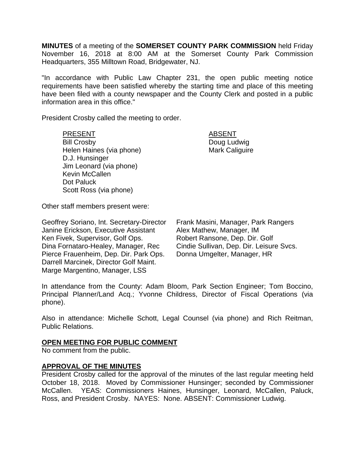**MINUTES** of a meeting of the **SOMERSET COUNTY PARK COMMISSION** held Friday November 16, 2018 at 8:00 AM at the Somerset County Park Commission Headquarters, 355 Milltown Road, Bridgewater, NJ.

"In accordance with Public Law Chapter 231, the open public meeting notice requirements have been satisfied whereby the starting time and place of this meeting have been filed with a county newspaper and the County Clerk and posted in a public information area in this office."

President Crosby called the meeting to order.

PRESENT ABSENT Bill Crosby **Doug Ludwig** Helen Haines (via phone) Mark Caliguire D.J. Hunsinger Jim Leonard (via phone) Kevin McCallen Dot Paluck Scott Ross (via phone)

Other staff members present were:

Geoffrey Soriano, Int. Secretary-Director Janine Erickson, Executive Assistant Ken Fivek, Supervisor, Golf Ops. Dina Fornataro-Healey, Manager, Rec Pierce Frauenheim, Dep. Dir. Park Ops. Darrell Marcinek, Director Golf Maint. Marge Margentino, Manager, LSS

Frank Masini, Manager, Park Rangers Alex Mathew, Manager, IM Robert Ransone, Dep. Dir. Golf Cindie Sullivan, Dep. Dir. Leisure Svcs. Donna Umgelter, Manager, HR

In attendance from the County: Adam Bloom, Park Section Engineer; Tom Boccino, Principal Planner/Land Acq.; Yvonne Childress, Director of Fiscal Operations (via phone).

Also in attendance: Michelle Schott, Legal Counsel (via phone) and Rich Reitman, Public Relations.

## **OPEN MEETING FOR PUBLIC COMMENT**

No comment from the public.

## **APPROVAL OF THE MINUTES**

President Crosby called for the approval of the minutes of the last regular meeting held October 18, 2018. Moved by Commissioner Hunsinger; seconded by Commissioner McCallen. YEAS: Commissioners Haines, Hunsinger, Leonard, McCallen, Paluck, Ross, and President Crosby. NAYES: None. ABSENT: Commissioner Ludwig.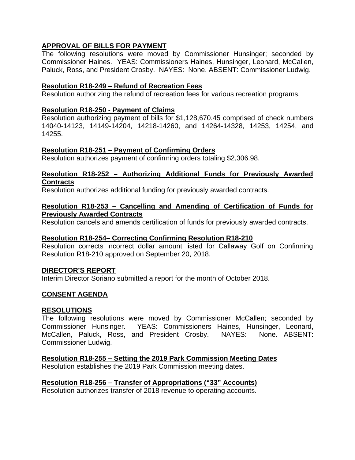# **APPROVAL OF BILLS FOR PAYMENT**

The following resolutions were moved by Commissioner Hunsinger; seconded by Commissioner Haines. YEAS: Commissioners Haines, Hunsinger, Leonard, McCallen, Paluck, Ross, and President Crosby. NAYES: None. ABSENT: Commissioner Ludwig.

## **Resolution R18-249 – Refund of Recreation Fees**

Resolution authorizing the refund of recreation fees for various recreation programs.

## **Resolution R18-250 - Payment of Claims**

Resolution authorizing payment of bills for \$1,128,670.45 comprised of check numbers 14040-14123, 14149-14204, 14218-14260, and 14264-14328, 14253, 14254, and 14255.

## **Resolution R18-251 – Payment of Confirming Orders**

Resolution authorizes payment of confirming orders totaling \$2,306.98.

## **Resolution R18-252 – Authorizing Additional Funds for Previously Awarded Contracts**

Resolution authorizes additional funding for previously awarded contracts.

### **Resolution R18-253 – Cancelling and Amending of Certification of Funds for Previously Awarded Contracts**

Resolution cancels and amends certification of funds for previously awarded contracts.

## **Resolution R18-254– Correcting Confirming Resolution R18-210**

Resolution corrects incorrect dollar amount listed for Callaway Golf on Confirming Resolution R18-210 approved on September 20, 2018.

## **DIRECTOR'S REPORT**

Interim Director Soriano submitted a report for the month of October 2018.

## **CONSENT AGENDA**

## **RESOLUTIONS**

The following resolutions were moved by Commissioner McCallen; seconded by Commissioner Hunsinger. YEAS: Commissioners Haines, Hunsinger, Leonard, McCallen, Paluck, Ross, and President Crosby. NAYES: None. ABSENT: Commissioner Ludwig.

## **Resolution R18-255 – Setting the 2019 Park Commission Meeting Dates**

Resolution establishes the 2019 Park Commission meeting dates.

## **Resolution R18-256 – Transfer of Appropriations ("33" Accounts)**

Resolution authorizes transfer of 2018 revenue to operating accounts.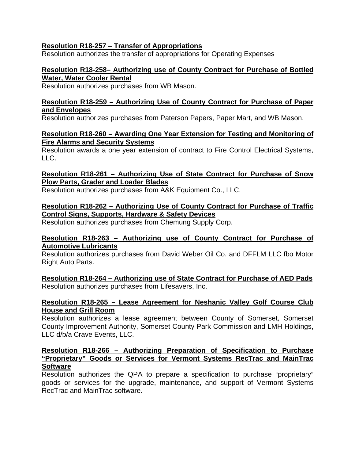## **Resolution R18-257 – Transfer of Appropriations**

Resolution authorizes the transfer of appropriations for Operating Expenses

#### **Resolution R18-258– Authorizing use of County Contract for Purchase of Bottled Water, Water Cooler Rental**

Resolution authorizes purchases from WB Mason.

## **Resolution R18-259 – Authorizing Use of County Contract for Purchase of Paper and Envelopes**

Resolution authorizes purchases from Paterson Papers, Paper Mart, and WB Mason.

## **Resolution R18-260 – Awarding One Year Extension for Testing and Monitoring of Fire Alarms and Security Systems**

Resolution awards a one year extension of contract to Fire Control Electrical Systems,  $\overline{L}$ 

## **Resolution R18-261 – Authorizing Use of State Contract for Purchase of Snow Plow Parts, Grader and Loader Blades**

Resolution authorizes purchases from A&K Equipment Co., LLC.

## **Resolution R18-262 – Authorizing Use of County Contract for Purchase of Traffic Control Signs, Supports, Hardware & Safety Devices**

Resolution authorizes purchases from Chemung Supply Corp.

## **Resolution R18-263 – Authorizing use of County Contract for Purchase of Automotive Lubricants**

Resolution authorizes purchases from David Weber Oil Co. and DFFLM LLC fbo Motor Right Auto Parts.

**Resolution R18-264 – Authorizing use of State Contract for Purchase of AED Pads**  Resolution authorizes purchases from Lifesavers, Inc.

## **Resolution R18-265 – Lease Agreement for Neshanic Valley Golf Course Club House and Grill Room**

Resolution authorizes a lease agreement between County of Somerset, Somerset County Improvement Authority, Somerset County Park Commission and LMH Holdings, LLC d/b/a Crave Events, LLC.

### **Resolution R18-266 – Authorizing Preparation of Specification to Purchase "Proprietary" Goods or Services for Vermont Systems RecTrac and MainTrac Software**

Resolution authorizes the QPA to prepare a specification to purchase "proprietary" goods or services for the upgrade, maintenance, and support of Vermont Systems RecTrac and MainTrac software.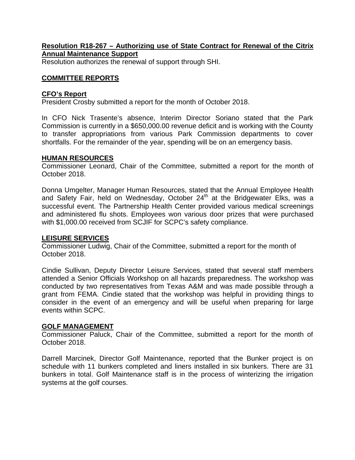## **Resolution R18-267 – Authorizing use of State Contract for Renewal of the Citrix Annual Maintenance Support**

Resolution authorizes the renewal of support through SHI.

### **COMMITTEE REPORTS**

#### **CFO's Report**

President Crosby submitted a report for the month of October 2018.

In CFO Nick Trasente's absence, Interim Director Soriano stated that the Park Commission is currently in a \$650,000.00 revenue deficit and is working with the County to transfer appropriations from various Park Commission departments to cover shortfalls. For the remainder of the year, spending will be on an emergency basis.

#### **HUMAN RESOURCES**

Commissioner Leonard, Chair of the Committee, submitted a report for the month of October 2018.

Donna Umgelter, Manager Human Resources, stated that the Annual Employee Health and Safety Fair, held on Wednesday, October 24<sup>th</sup> at the Bridgewater Elks, was a successful event. The Partnership Health Center provided various medical screenings and administered flu shots. Employees won various door prizes that were purchased with \$1,000.00 received from SCJIF for SCPC's safety compliance.

#### **LEISURE SERVICES**

Commissioner Ludwig, Chair of the Committee, submitted a report for the month of October 2018.

Cindie Sullivan, Deputy Director Leisure Services, stated that several staff members attended a Senior Officials Workshop on all hazards preparedness. The workshop was conducted by two representatives from Texas A&M and was made possible through a grant from FEMA. Cindie stated that the workshop was helpful in providing things to consider in the event of an emergency and will be useful when preparing for large events within SCPC.

#### **GOLF MANAGEMENT**

Commissioner Paluck, Chair of the Committee, submitted a report for the month of October 2018.

Darrell Marcinek, Director Golf Maintenance, reported that the Bunker project is on schedule with 11 bunkers completed and liners installed in six bunkers. There are 31 bunkers in total. Golf Maintenance staff is in the process of winterizing the irrigation systems at the golf courses.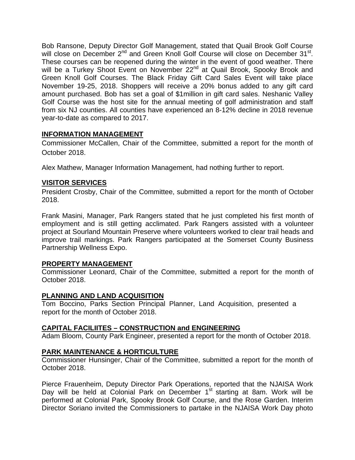Bob Ransone, Deputy Director Golf Management, stated that Quail Brook Golf Course will close on December 2<sup>nd</sup> and Green Knoll Golf Course will close on December 31<sup>st</sup>. These courses can be reopened during the winter in the event of good weather. There will be a Turkey Shoot Event on November 22<sup>nd</sup> at Quail Brook, Spooky Brook and Green Knoll Golf Courses. The Black Friday Gift Card Sales Event will take place November 19-25, 2018. Shoppers will receive a 20% bonus added to any gift card amount purchased. Bob has set a goal of \$1million in gift card sales. Neshanic Valley Golf Course was the host site for the annual meeting of golf administration and staff from six NJ counties. All counties have experienced an 8-12% decline in 2018 revenue year-to-date as compared to 2017.

## **INFORMATION MANAGEMENT**

Commissioner McCallen, Chair of the Committee, submitted a report for the month of October 2018.

Alex Mathew, Manager Information Management, had nothing further to report.

## **VISITOR SERVICES**

President Crosby, Chair of the Committee, submitted a report for the month of October 2018.

Frank Masini, Manager, Park Rangers stated that he just completed his first month of employment and is still getting acclimated. Park Rangers assisted with a volunteer project at Sourland Mountain Preserve where volunteers worked to clear trail heads and improve trail markings. Park Rangers participated at the Somerset County Business Partnership Wellness Expo.

## **PROPERTY MANAGEMENT**

Commissioner Leonard, Chair of the Committee, submitted a report for the month of October 2018.

## **PLANNING AND LAND ACQUISITION**

Tom Boccino, Parks Section Principal Planner, Land Acquisition, presented a report for the month of October 2018.

# **CAPITAL FACILIITES – CONSTRUCTION and ENGINEERING**

Adam Bloom, County Park Engineer, presented a report for the month of October 2018.

# **PARK MAINTENANCE & HORTICULTURE**

Commissioner Hunsinger, Chair of the Committee, submitted a report for the month of October 2018.

Pierce Frauenheim, Deputy Director Park Operations, reported that the NJAISA Work Day will be held at Colonial Park on December 1<sup>st</sup> starting at 8am. Work will be performed at Colonial Park, Spooky Brook Golf Course, and the Rose Garden. Interim Director Soriano invited the Commissioners to partake in the NJAISA Work Day photo